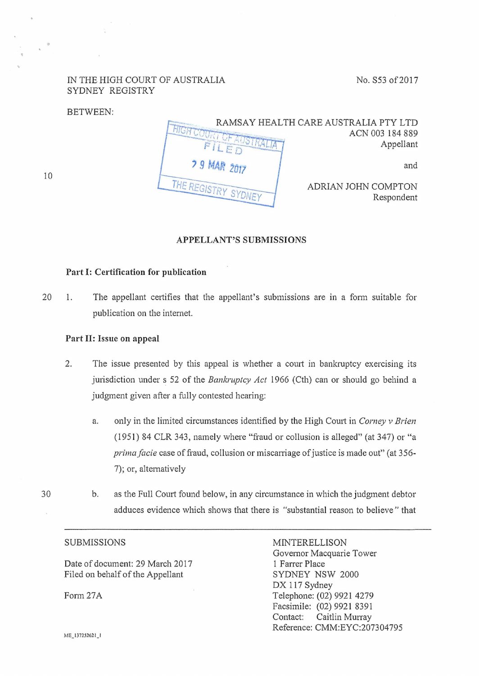#### IN THE HIGH COURT OF AUSTRALIA SYDNEY REGISTRY

No. S53 of 2017

#### BETWEEN:



#### APPELLANT'S SUBMISSIONS

#### Part I: Certification for publication

20 1. The appellant certifies that the appellant's submissions are in a fonn suitable for publication on the internet.

#### Part 11: Issue on appeal

- 2. The issue presented by this appeal is whether a court in bankruptcy exercising its jurisdiction under s 52 of the *Bankruptcy Act* 1966 (Cth) can or should go behind a judgment given after a fully contested hearing:
	- a. only in the limited circumstances identified by the High Court in *Corney v Brien* ( 1951) 84 CLR 343, namely where "fraud or collusion is alleged" (at 347) or "a *prima facie case of fraud, collusion or miscarriage of justice is made out"* (at 356-7); or, altematively
- 30 b. as the Full Court found below, in any circumstance in which the judgment debtor adduces evidence which shows that there is "substantial reason to believe" that

#### SUBMISSIONS

Date of document: 29 March 2017 Filed on behalf of the Appellant

Fonn27A

MINTERELLISON Governor Macquarie Tower 1 Farrer Place SYDNEY NSW 2000 DX 117 Sydney Telephone: (02) 9921 4279 Facsimile: (02) 9921 8391 Contact: Caitlin Murray Reference: CMM:EYC:207304795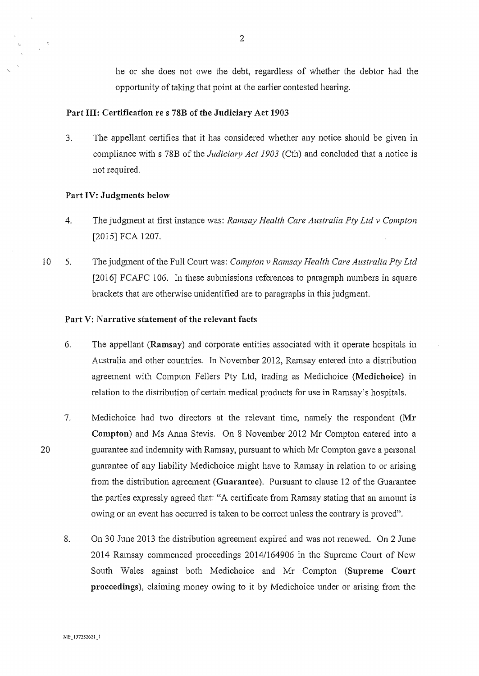he or she does not owe the debt, regardless of whether the debtor had the opportunity of taking that point at the earlier contested hearing.

#### Part Ill: Certification re s 78B of the Judiciary Act 1903

3. The appellant cetiifies that it has considered whether any notice should be given in compliance with s 78B of the *Judiciary Act 1903* (Cth) and concluded that a notice is not required.

#### Part IV: Judgments below

- 4. The judgment at first instance was: *Ramsay Health Care Australia Pty Ltd v Compton*  [2015] FCA 1207.
- 10 5. The judgment of the Full Court was: *Compton v Ramsay Health Care Australia Pty Ltd*  [2016] FCAFC 106. In these submissions references to paragraph numbers in square brackets that are otherwise unidentified are to paragraphs in this judgment.

#### Part V: Narrative statement of the relevant facts

- 6. The appellant (Ramsay) and corporate entities associated with it operate hospitals in Australia and other countries. In November 2012, Ramsay entered into a distribution agreement with Compton Fellers Pty Ltd, trading as Medichoice (Medichoice) in relation to the distribution of certain medical products for use in Ramsay's hospitals.
- 7. Medichoice had two directors at the relevant time, namely the respondent (Mr Compton) and Ms Anna Stevis. On 8 November 2012 Mr Compton entered into a guarantee and indemnity with Ramsay, pursuant to which Mr Compton gave a personal guarantee of any liability Medichoice might have to Ramsay in relation to or arising from the distribution agreement (Guarantee). Pursuant to clause 12 of the Guarantee the parties expressly agreed that: "A certificate from Ramsay stating that an amount is owing or an event has occurred is taken to be correct unless the contrary is proved".
	- 8. On 30 June 2013 the distribution agreement expired and was not renewed. On 2 June 2014 Ramsay commenced proceedings 2014/164906 in the Supreme Court of New South Wales against both Medichoice and Mr Compton (Supreme Court proceedings), claiming money owing to it by Medichoice under or arising from the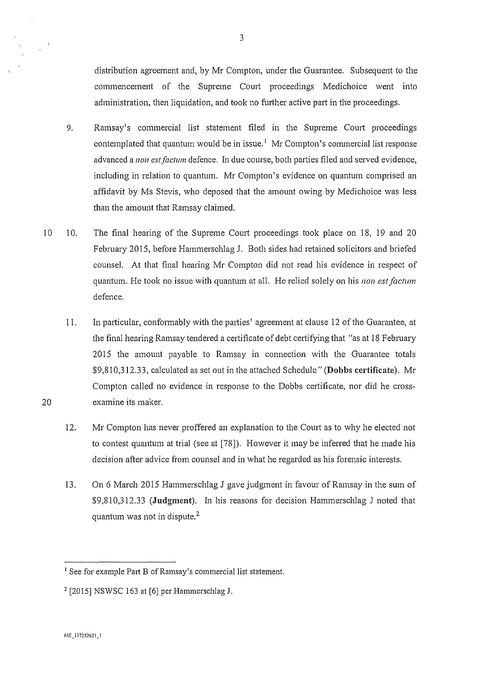distribution agreement and, by Mr Compton, under the Guarantee. Subsequent to the commencement of the Supreme Court proceedings Medichoice went into administration, then liquidation, and took no further active part in the proceedings.

- 9. Ramsay's commercial list statement filed in the Supreme Court proceedings contemplated that quantum would be in issue.<sup>1</sup> Mr Compton's commercial list response advanced a *non est factum* defence. In due course, both parties filed and served evidence, including in relation to quantum. Mr Compton's evidence on quantum comprised an affidavit by Ms Stevis, who deposed that the amount owing by Medichoice was less than the amount that Ramsay claimed.
- 10 10. The final hearing of the Supreme Court proceedings took place on 18, 19 and 20 February 2015, before Hammerschlag J. Both sides had retained solicitors and briefed counsel. At that final hearing Mr Compton did not read his evidence in respect of quantum. He took no issue with quantum at all. He relied solely on his *non est factum* defence.
	- 11. In pmiicular, confonnably with the parties' agreement at clause 12 of the Guarantee, at the final hearing Ramsay tendered a certificate of debt certifying that "as at 18 February 2015 the amount payable to Ramsay in connection with the Guarantee totals \$9,81 0,312.33, calculated as set out in the attached Schedule" **(Dobbs certificate).** Mr Compton called no evidence in response to the Dobbs certificate, nor did he crossexamine its maker.
	- 12. Mr Compton has never proffered an explanation to the Court as to why he elected not to contest quantum at trial (see at [78]). However it may be inferred that he made his decision after advice from counsel and in what he regarded as his forensic interests.
	- 13. On 6 March 2015 Hammerschlag J gave judgment in favour of Ramsay in the sum of \$9,810,312.33 **(Judgment).** In his reasons for decision Hammerschlag J noted that quantum was not in dispute.<sup>2</sup>

<sup>&</sup>lt;sup>1</sup> See for example Part B of Ramsay's commercial list statement.

<sup>&</sup>lt;sup>2</sup> [2015] NSWSC 163 at [6] per Hammerschlag J.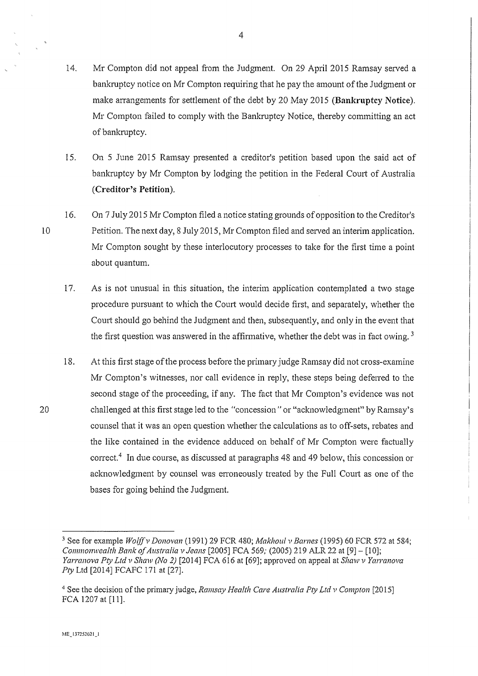14. Mr Compton did not appeal from the Judgment. On 29 April 2015 Ramsay served a bankruptcy notice on Mr Compton requiring that he pay the amount of the Judgment or make arrangements for settlement of the debt by 20 May 2015 **(Bankruptcy Notice).**  Mr Compton failed to comply with the Bankruptcy Notice, thereby committing an act of bankruptcy.

4

- 15. On 5 June 2015 Ramsay presented a creditor's petition based upon the said act of bankruptcy by Mr Compton by lodging the petition in the Federal Court of Australia **(Creditor's Petition).**
- 16. On 7 July 2015 Mr Compton filed a notice stating grounds of opposition to the Creditor's Petition. The next day, 8 July2015, Mr Compton filed and served an interim application. Mr Compton sought by these interlocutory processes to take for the first time a point about quantum.
	- 17. As is not unusual in this situation, the interim application contemplated a two stage procedure pursuant to which the Court would decide first, and separately, whether the Comt should go behind the Judgment and then, subsequently, and only in the event that the first question was answered in the affirmative, whether the debt was in fact owing.<sup>3</sup>
	- 18. At this first stage of the process before the primary judge Ramsay did not cross-examine Mr Compton's witnesses, nor call evidence in reply, these steps being deferred to the second stage of the proceeding, if any. The fact that Mr Compton's evidence was not challenged at this first stage led to the "concession" or "acknowledgment" by Ramsay's counsel that it was an open question whether the calculations as to off-sets, rebates and the like contained in the evidence adduced on behalf of Mr Compton were factually correct.<sup>4</sup> In due course, as discussed at paragraphs 48 and 49 below, this concession or acknowledgment by counsel was erroneously treated by the Full Court as one of the bases for going behind the Judgment.

<sup>&</sup>lt;sup>3</sup> See for example *Wolff v Donovan* (1991) 29 FCR 480; *Makhoul v Barnes* (1995) 60 FCR 572 at 584; *Commonwealth Bank of Australia v Jeans* [2005] FCA 569; (2005) 219 ALR 22 at [9] - [10]; *Yarranova Pty Ltd v Shaw (No 2)* [2014] FCA 616 at [69]; approved on appeal at *Shaw v Yarranova Pty* Ltd [2014] FCAFC 171 at [27].

<sup>4</sup> See the decision of the primary judge, *Ramsay Health Care Australia Pty Ltd v Compton* [2015] FCA 1207 at [11].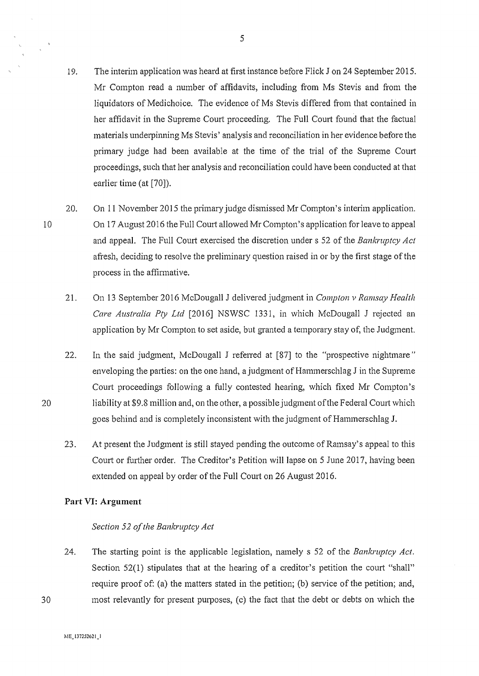- 19. The interim application was heard at first instance before Flick J on 24 September 2015. Mr Compton read a number of affidavits, including from Ms Stevis and from the liquidators of Medichoice. The evidence of Ms Stevis differed from that contained in her affidavit in the Supreme Court proceeding. The Full Court found that the factual materials underpinning Ms Stevis' analysis and reconciliation in her evidence before the primary judge had been available at the time of the trial of the Supreme Court proceedings, such that her analysis and reconciliation could have been conducted at that earlier time (at [70]).
- 10 20. On 11 November 2015 the primary judge dismissed Mr Compton's interim application. On 17 August 2016 the Full Comt allowed Mr Compton's application for leave to appeal and appeal. The Full Court exercised the discretion under s 52 of the *Bankruptcy Act*  afresh, deciding to resolve the preliminary question raised in or by the first stage of the process in the affinnative.
	- 21. On 13 September 2016 McDougall J delivered judgment in *Compton v Ramsay Health Care Australia Pty Ltd* [2016] NSWSC 1331, in which McDougall J rejected an application by Mr Compton to set aside, but granted a temporary stay of, the Judgment.
	- 22. In the said judgment, McDougall J refened at [87] to the "prospective nightmare" enveloping the parties: on the one hand, a judgment of Hammerschlag J in the Supreme Court proceedings following a fully contested hearing, which fixed Mr Compton's liability at \$9.8 million and, on the other, a possible judgment ofthe Federal Court which goes behind and is completely inconsistent with the judgment of Hammerschlag J.
	- 23. At present the Judgment is still stayed pending the outcome ofRamsay's appeal to this Court or further order. The Creditor's Petition will lapse on 5 June 2017, having been extended on appeal by order of the Full Court on 26 August 2016.

#### **Part** VI: **Argument**

#### *Section 52 of the Bankruptcy Act*

24. The starting point is the applicable legislation, namely s 52 of the *Bankruptcy Act.*  Section 52(1) stipulates that at the hearing of a creditor's petition the court "shall" require proof of: (a) the matters stated in the petition; (b) service of the petition; and, most relevantly for present purposes, (c) the fact that the debt or debts on which the

~11:\_137252621\_1

20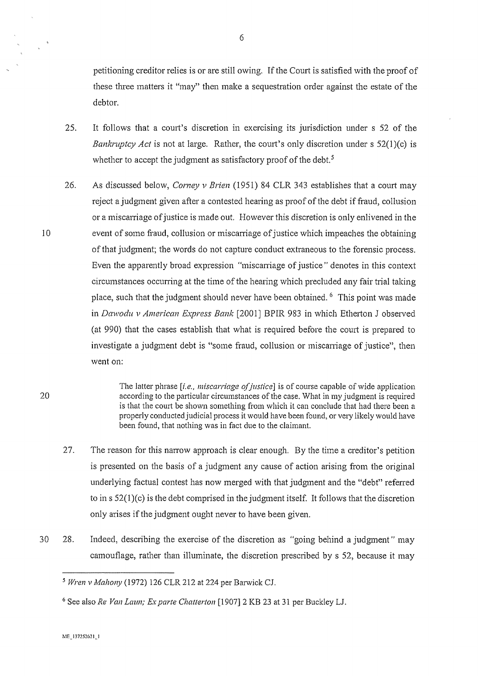petitioning creditor relies is or are still owing. If the Court is satisfied with the proof of these three matters it "may" then make a sequestration order against the estate of the debtor.

- 25. It follows that a court's discretion in exercising its jurisdiction under s 52 of the *Bankruptcy Act* is not at large. Rather, the court's only discretion under s 52(1)(c) is whether to accept the judgment as satisfactory proof of the debt.<sup>5</sup>
- 26. As discussed below, *Corney v Brien* (1951) 84 CLR 343 establishes that a court may reject a judgment given after a contested hearing as proof of the debt if fraud, collusion or a miscarriage of justice is made out. However this discretion is only enlivened in the event of some fraud, collusion or miscarriage of justice which impeaches the obtaining of that judgment; the words do not capture conduct extraneous to the forensic process. Even the apparently broad expression "miscarriage of justice" denotes in this context circumstances occurring at the time of the hearing which precluded any fair trial taking place, such that the judgment should never have been obtained. 6 This point was made in *Dawodu v American Express Bank* [2001] BPIR 983 in which Etherton J observed (at 990) that the cases establish that what is required before the court is prepared to investigate a judgment debt is "some fraud, collusion or miscarriage of justice", then went on:

The latter phrase *[i.e., miscarriage of justice]* is of course capable of wide application according to the particular circumstances of the case. What in my judgment is required is that the court be shown something from which it can conclude that had there been a properly conducted judicial process it would have been found, or very likely would have been found, that nothing was in fact due to the claimant.

- 27. The reason for this narrow approach is clear enough. By the time a creditor's petition is presented on the basis of a judgment any cause of action arising from the original underlying factual contest has now merged with that judgment and the "debt" referred to in  $s$  52(1)(c) is the debt comprised in the judgment itself. It follows that the discretion only arises if the judgment ought never to have been given.
- 30 28. Indeed, describing the exercise of the discretion as "going behind a judgment" may camouflage, rather than illuminate, the discretion prescribed by s 52, because it may

<sup>&</sup>lt;sup>5</sup> Wren v Mahony (1972) 126 CLR 212 at 224 per Barwick CJ.

<sup>6</sup> See also *Re Van Laun; Ex parte Chatterton* [1907] 2 KB 23 at 31 per Buckley LJ.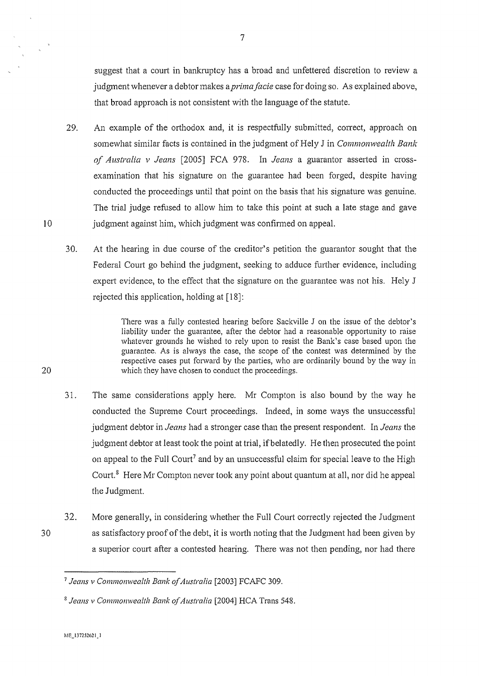suggest that a court in bankruptcy has a broad and unfettered discretion to review a judgment whenever a debtor makes a *prima facie* case for doing so. As explained above, that broad approach is not consistent with the language of the statute.

- 29. An example of the orthodox and, it is respectfully submitted, correct, approach on somewhat similar facts is contained in the judgment of Hely J in *Commonwealth Bank of Australia v Jeans* [2005] FCA 978. In *Jeans* a guarantor asserted in crossexamination that his signature on the guarantee had been forged, despite having conducted the proceedings until that point on the basis that his signature was genuine. The trial judge refused to allow him to take this point at such a late stage and gave judgment against him, which judgment was confinned on appeal.
- 30. At the hearing in due course of the creditor's petition the guarantor sought that the Federal Court go behind the judgment, seeking to adduce further evidence, including expert evidence, to the effect that the signature on the guarantee was not his. Hely J rejected this application, holding at [18]:

There was a fully contested hearing before Sackville J on the issue of the debtor's liability under the guarantee, after the debtor had a reasonable opporiunity to raise whatever grounds he wished to rely upon to resist the Bank's case based upon the guarantee. As is always the case, the scope of the contest was determined by the respective cases put forward by the parties, who are ordinarily bound by the way in which they have chosen to conduct the proceedings.

- 31. The same considerations apply here. Mr Compton is also bound by the way he conducted the Supreme Court proceedings. Indeed, in some ways the unsuccessful judgment debtor in *Jeans* had a stronger case than the present respondent. In *Jeans* the judgment debtor at least took the point at trial, ifbelatedly. He then prosecuted the point on appeal to the Full Court<sup>7</sup> and by an unsuccessful claim for special leave to the High Court. $8$  Here Mr Compton never took any point about quantum at all, nor did he appeal the Judgment.
- 32. More generally, in considering whether the Full Court correctly rejected the Judgment as satisfactory proof of the debt, it is worih noting that the Judgment had been given by a superior court after a contested hearing. There was not then pending, nor had there

10

<sup>&</sup>lt;sup>7</sup> Jeans v Commonwealth Bank of Australia <sup>[2003]</sup> FCAFC 309.

<sup>&</sup>lt;sup>8</sup> Jeans v Commonwealth Bank of Australia <sup>[2004]</sup> HCA Trans 548.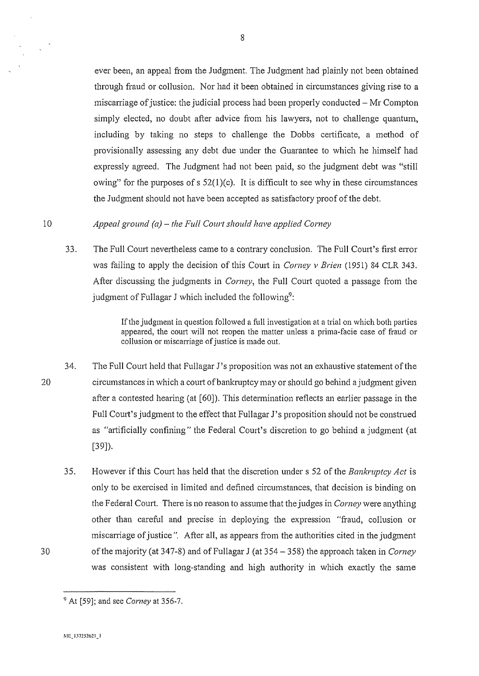ever been, an appeal from the Judgment. The Judgment had plainly not been obtained through fraud or collusion. Nor had it been obtained in circumstances giving rise to a miscarriage of justice: the judicial process had been properly conducted- Mr Compton simply elected, no doubt after advice from his lawyers, not to challenge quantum, including by taking no steps to challenge the Dobbs certificate, a method of provisionally assessing any debt due under the Guarantee to which he himself had expressly agreed. The Judgment had not been paid, so the judgment debt was "still owing" for the purposes of  $s$  52(1)(c). It is difficult to see why in these circumstances the Judgment should not have been accepted as satisfactory proof of the debt.

#### 10 *Appeal ground (a)* - *the Full Court should have applied Corney*

33. The Full Court nevertheless came to a contrary conclusion. The Full Court's first error was failing to apply the decision of this Court in *Corney v Brien* (1951) 84 CLR 343. After discussing the judgments in *Corney*, the Full Court quoted a passage from the judgment of Fullagar J which included the following<sup>9</sup>:

> If the judgment in question followed a full investigation at a trial on which both parties appeared, the court will not reopen the matter unless a prima-facie case of fraud or collusion or miscarriage of justice is made out.

- 20 34. The Full Court held that Fullagar J's proposition was not an exhaustive statement of the circumstances in which a court of bankruptcy may or should go behind a judgment given after a contested hearing (at [60]). This determination reflects an earlier passage in the Full Court's judgment to the effect that Fullagar J's proposition should not be construed as "artificially confining" the Federal Court's discretion to go behind a judgment (at [39]).
	- 35. However if this Court has held that the discretion under s 52 of the *Bankruptcy Act* is only to be exercised in limited and defined circumstances, that decision is binding on the Federal Court. There is no reason to assume that the judges in *Comey* were anything other than careful and precise in deploying the expression "fraud, collusion or miscaniage of justice". After all, as appears from the authorities cited in the judgment of the majority (at 347-8) and ofFullagar J (at 354- 358) the approach taken in *Corney*  was consistent with long-standing and high authority in which exactly the same

<sup>9</sup> At [59]; and see *Corney* at 356-7.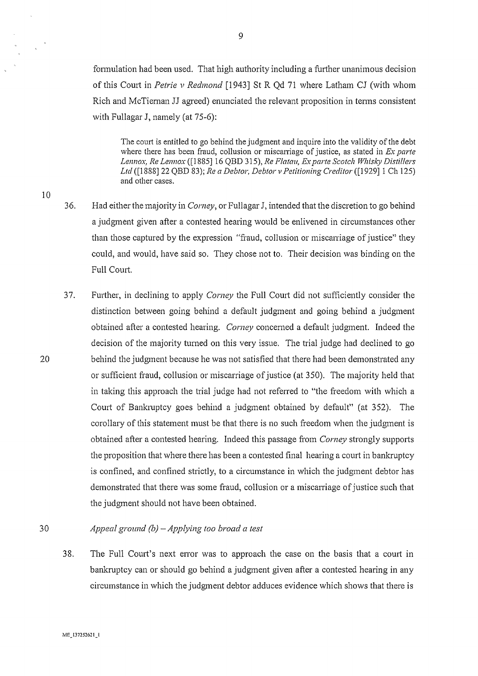formulation had been used. That high authority including a further unanimous decision of this Court in *Petrie v Redmond* [1943] St R Qd 71 where Latham CJ (with whom Rich and McTieman JJ agreed) enunciated the relevant proposition in tenns consistent with Fullagar J, namely (at 75-6):

The court is entitled to go behind the judgment and inquire into the validity of the debt where there has been fraud, collusion or miscarriage of justice, as stated in *Ex parte Lennox, Re Lennox* ([1885) 16 QBD 315), *Re Flatau, Ex parte Scotch Whisky Distillers Ltd* ([1888) 22 QBD 83 ); *Re a Debtor, Debtor v Petitioning Creditor* ([1929] 1 Ch 125) and other cases.

10

20

36. Had either the majority in *Corney*, or Fullagar J, intended that the discretion to go behind a judgment given after a contested hearing would be enlivened in circumstances other than those captured by the expression "fraud, collusion or miscarriage of justice" they could, and would, have said so. They chose not to. Their decision was binding on the Full Court.

37. Further, in declining to apply *Corney* the Full Court did not sufficiently consider the distinction between going behind a default judgment and going behind a judgment obtained after a contested hearing. *Corney* concemed a default judgment. Indeed the decision of the majority turned on this very issue. The trial judge had declined to go behind the judgment because he was not satisfied that there had been demonstrated any or sufficient fraud, collusion or miscarriage of justice (at 350). The majority held that in taking this approach the trial judge had not referred to "the freedom with which a Court of Bankruptcy goes behind a judgment obtained by default" (at 352). The corollary of this statement must be that there is no such freedom when the judgment is obtained after a contested hearing. Indeed this passage from *Corney* strongly suppotis the proposition that where there has been a contested final hearing a court in bankruptcy is confined, and confined strictly, to a circumstance in which the judgment debtor has demonstrated that there was some fraud, collusion or a miscarriage of justice such that the judgment should not have been obtained.

#### 30 *Appeal ground (b)- Applying too broad a test*

38. The Full Court's next error was to approach the case on the basis that a court in bankruptcy can or should go behind a judgment given after a contested hearing in any circumstance in which the judgment debtor adduces evidence which shows that there is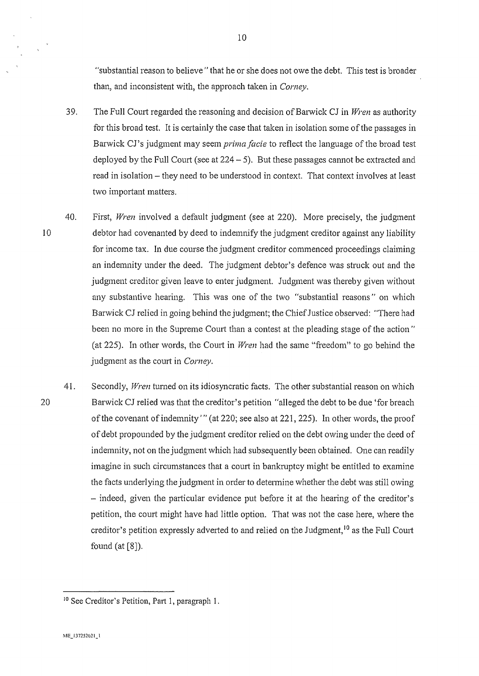"substantial reason to believe" that he or she does not owe the debt. This test is broader than, and inconsistent with, the approach taken in *Corney.* 

- 39. The Full Comi regarded the reasoning and decision ofBarwick CJ in *Wren* as authority for this broad test. It is certainly the case that taken in isolation some of the passages in Barwick CJ's judgment may seem *prima facie* to reflect the language of the broad test deployed by the Full Court (see at  $224 - 5$ ). But these passages cannot be extracted and read in isolation- they need to be understood in context. That context involves at least two important matters.
- 40. First, *Wren* involved a default judgment (see at 220). More precisely, the judgment debtor had covenanted by deed to indemnify the judgment creditor against any liability for income tax. In due course the judgment creditor commenced proceedings claiming an indemnity under the deed. The judgment debtor's defence was struck out and the judgment creditor given leave to enter judgment. Judgment was thereby given without any substantive hearing. This was one of the two "substantial reasons" on which Barwick CJ relied in going behind the judgment; the Chief Justice observed: "There had been no more in the Supreme Court than a contest at the pleading stage of the action" (at 225). In other words, the Court in *Wren* had the same "freedom" to go behind the judgment as the court in *Corney.*
- 41. Secondly, *Wren* turned on its idiosyncratic facts. The other substantial reason on which Barwick CJ relied was that the creditor's petition "alleged the debt to be due 'for breach of the covenant of indemnity'" (at 220; see also at 221, 225). In other words, the proof of debt propounded by the judgment creditor relied on the debt owing under the deed of indemnity, not on the judgment which had subsequently been obtained. One can readily imagine in such circumstances that a court in bankruptcy might be entitled to examine the facts underlying the judgment in order to determine whether the debt was still owing - indeed, given the particular evidence put before it at the hearing of the creditor's petition, the court might have had little option. That was not the case here, where the creditor's petition expressly adverted to and relied on the Judgment,  $10$  as the Full Court found (at [8]).

<sup>&</sup>lt;sup>10</sup> See Creditor's Petition, Part 1, paragraph 1.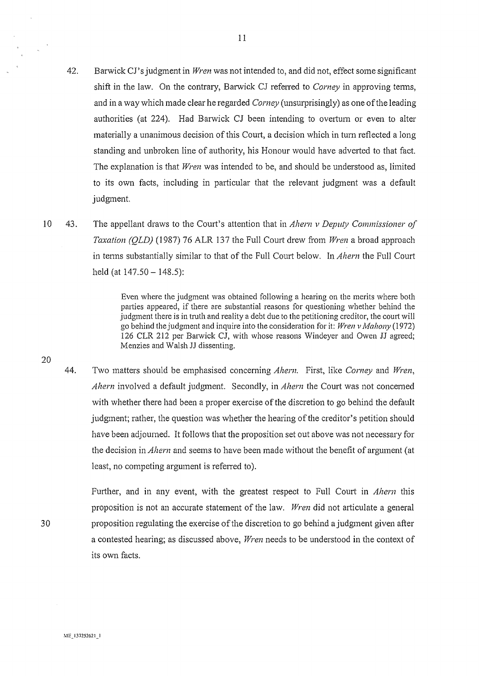- 42. Barwick CJ's judgment in *Wren* was not intended to, and did not, effect some significant shift in the law. On the contrary, Barwick CJ referred to *Corney* in approving terms, and in a way which made clear he regarded *Corney* (unsurprisingly) as one of the leading authorities (at 224). Had Barwick CJ been intending to ovetium or even to alter materially a unanimous decision of this Court, a decision which in tum reflected a long standing and unbroken line of authority, his Honour would have adverted to that fact. The explanation is that *Wren* was intended to be, and should be understood as, limited to its own facts, including in particular that the relevant judgment was a default judgment.
- 10 43. The appellant draws to the Court's attention that in *Ahern v Deputy Commissioner of Taxation (QLD)* (1987) 76 ALR 137 the Full Court drew from *Wren* a broad approach in terms substantially similar to that of the Full Court below. In *Ahern* the Full Court held (at  $147.50 - 148.5$ ):

Even where the judgment was obtained following a hearing on the merits where both parties appeared, if there are substantial reasons for questioning whether behind the judgment there is in truth and reality a debt due to the petitioning creditor, the court will go behind the judgment and inquire into the consideration for it: *Wren v Mahony* (1972) 126 CLR 212 per Barwick CJ, with whose reasons Windeyer and Owen JJ agreed; Menzies and Walsh JJ dissenting.

44. Two matters should be emphasised concerning *Ahern*. First, like *Corney* and *Wren*, *Ahern* involved a default judgment. Secondly, in *Ahern* the Court was not concemed with whether there had been a proper exercise of the discretion to go behind the default judgment; rather, the question was whether the hearing of the creditor's petition should have been adjourned. It follows that the proposition set out above was not necessary for the decision in *Ahern* and seems to have been made without the benefit of argument (at least, no competing argument is refened to).

Further, and in any event, with the greatest respect to Full Court in *Ahern* this proposition is not an accurate statement of the law. *Wren* did not ariiculate a general proposition regulating the exercise ofthe discretion to go behind a judgment given after a contested hearing; as discussed above, *Wren* needs to be understood in the context of its own facts.

20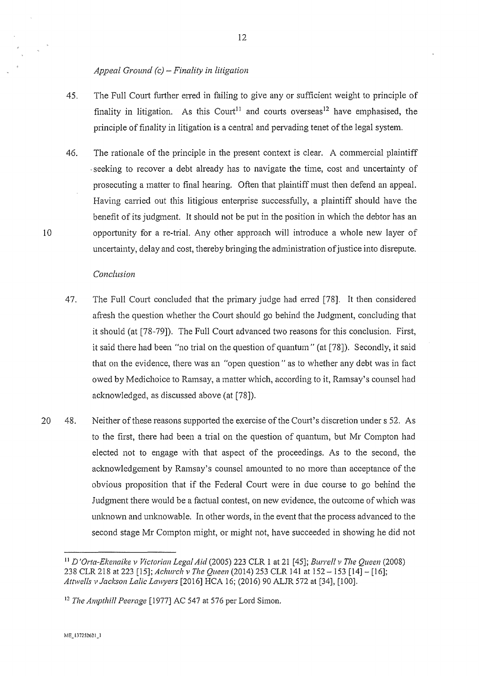#### *Appeal Ground (c) -Finality in litigation*

- 45. The Full Court further erred in failing to give any or sufficient weight to principle of finality in litigation. As this Court<sup>11</sup> and courts overseas<sup>12</sup> have emphasised, the principle of finality in litigation is a central and pervading tenet of the legal system.
- 46. The rationale of the principle in the present context is clear. A commercial plaintiff seeking to recover a debt already has to navigate the time, cost and uncertainty of prosecuting a matter to final hearing. Often that plaintiff must then defend an appeal. Having carried out this litigious enterprise successfully, a plaintiff should have the benefit of its judgment. It should not be put in the position in which the debtor has an opportunity for a re-trial. Any other approach will introduce a whole new layer of uncertainty, delay and cost, thereby bringing the administration of justice into disrepute.

#### *Conclusion*

- 47. The Full Court concluded that the primary judge had erred [78]. It then considered afresh the question whether the Court should go behind the Judgment, concluding that it should (at [78-79]). The Full Court advanced two reasons for this conclusion. First, it said there had been "no trial on the question of quantum" (at [78]). Secondly, it said that on the evidence, there was an "open question" as to whether any debt was in fact owed by Medichoice to Ramsay, a matter which, according to it, Ramsay's counsel had acknowledged, as discussed above (at [78]).
- 20 48. Neither of these reasons supported the exercise of the Court's discretion under s 52. As to the first, there had been a trial on the question of quantum, but Mr Compton had elected not to engage with that aspect of the proceedings. As to the second, the acknowledgement by Ramsay's counsel amounted to no more than acceptance of the obvious proposition that if the Federal Court were in due course to go behind the Judgment there would be a factual contest, on new evidence, the outcome of which was unknown and unknowable. In other words, in the event that the process advanced to the second stage Mr Compton might, or might not, have succeeded in showing he did not

<sup>11</sup>*D 'Orta-Ekenaike v Victorian Legal Aid* (2005) 223 CLR 1 at 21 [45]; *Burre!l v The Queen* (2008) 238 CLR 218 at 223 [15]; *Aclwrch v The Queen* (2014) 253 CLR 141 at 152- 153 [14]- [16); *Attwells v Jackson La lie Lawyers* [2016] HCA 16; (2016) 90 ALJR 572 at [34], [1 00].

<sup>12</sup>*The Ampthifl Peerage* [1977] AC 547 at 576 per Lord Simon.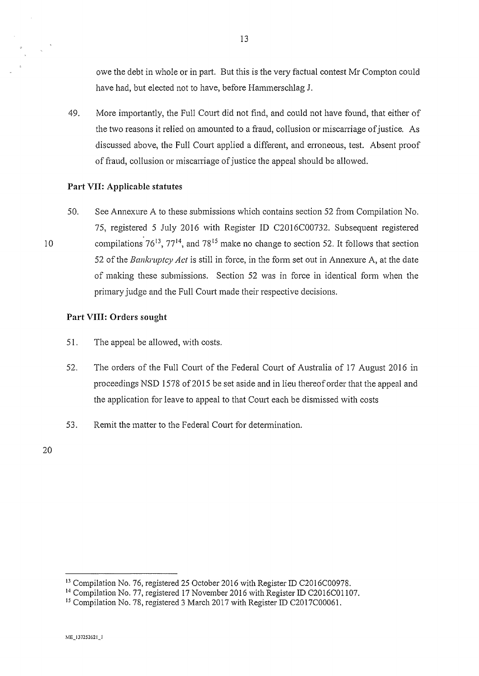owe the debt in whole or in part. But this is the very factual contest Mr Compton could have had, but elected not to have, before Hammerschlag J.

49. More importantly, the Full Court did not find, and could not have found, that either of the two reasons it relied on amounted to a fraud, collusion or miscarriage of justice. As discussed above, the Full Court applied a different, and erroneous, test. Absent proof of fraud, collusion or miscarriage of justice the appeal should be allowed.

#### **Part** VII: **Applicable statutes**

50. See Annexure A to these submissions which contains section 52 from Compilation No. 75, registered 5 July 2016 with Register ID C20 16C00732. Subsequent registered compilations  $76^{13}$ ,  $77^{14}$ , and  $78^{15}$  make no change to section 52. It follows that section 52 of the *Bankruptcy Act* is still in force, in the form set out in Annexure A, at the date of making these submissions. Section 52 was in force in identical fonn when the primary judge and the Full Court made their respective decisions.

### **Part VIII: Orders sought**

- 51. The appeal be allowed, with costs.
- 52. The orders of the Full Court of the Federal Court of Australia of 17 August 2016 in proceedings NSD 1578 of 2015 be set aside and in lieu thereof order that the appeal and the application for leave to appeal to that Court each be dismissed with costs
- 53. Remit the matter to the Federal Court for detennination.

20

<sup>&</sup>lt;sup>13</sup> Compilation No. 76, registered 25 October 2016 with Register ID C2016C00978.

<sup>&</sup>lt;sup>14</sup> Compilation No. 77, registered 17 November 2016 with Register ID C2016C01107.

<sup>&</sup>lt;sup>15</sup> Compilation No. 78, registered 3 March 2017 with Register ID C2017C00061.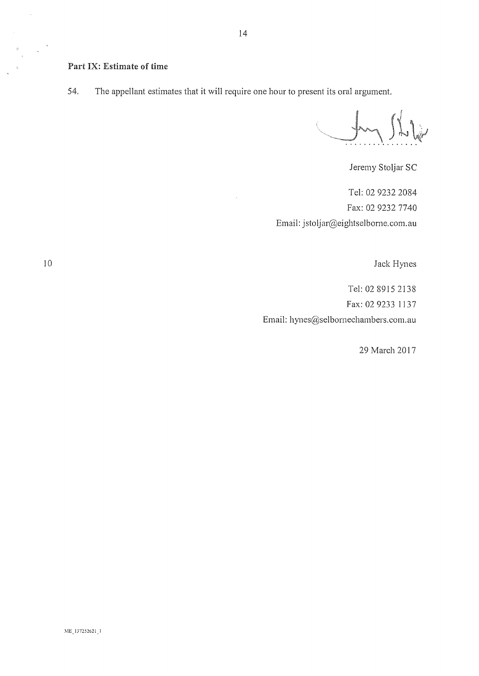#### Part IX: Estimate of time

54. The appellant estimates that it will require one hour to present its oral argument.

Juny Shilp

Jeremy Stoljar SC

Tel: 02 9232 2084 Fax: 02 9232 7740 Email: jstoljar@eightselbome.com.au

Jack Hynes

Tel: 02 8915 2138 Fax: 02 9233 1137 Email: hynes@selbomechambers.com.au

29 March 2017

10

 $\bar{\zeta}$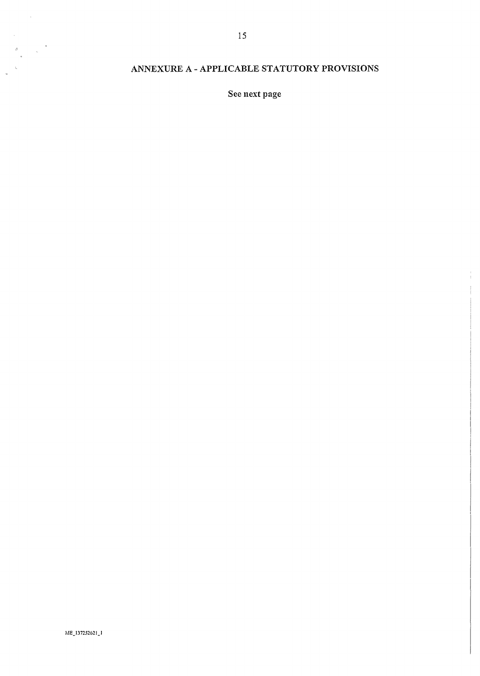## ANNEXURE A- APPLICABLE STATUTORY PROVISIONS

See next page

ME\_137252621\_1

 $\bar{\lambda}$ 

 $\bar{\zeta}$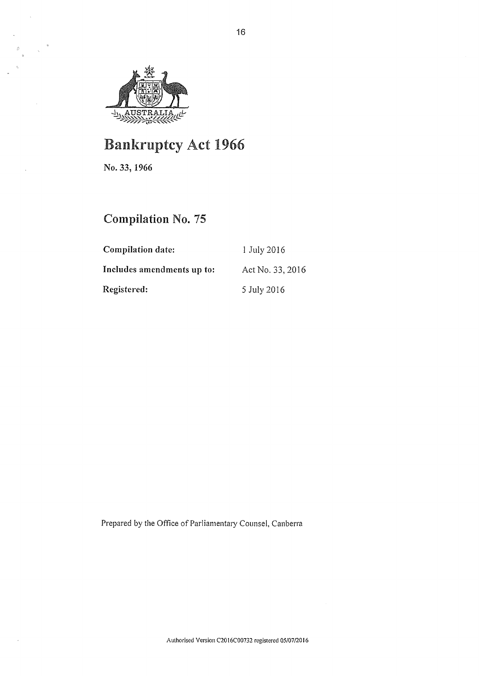

# Bankruptcy Act 1966

No. **33, 1966** 

 $\ddot{\phantom{a}}$ 

 $\bar{z}$ 

## **Compilation** No. 75

| <b>Compilation date:</b>   | 1 July 2016      |
|----------------------------|------------------|
| Includes amendments up to: | Act No. 33, 2016 |
| Registered:                | 5 July 2016      |

Prepared by the Office of Parliamentary Counsel, Canberra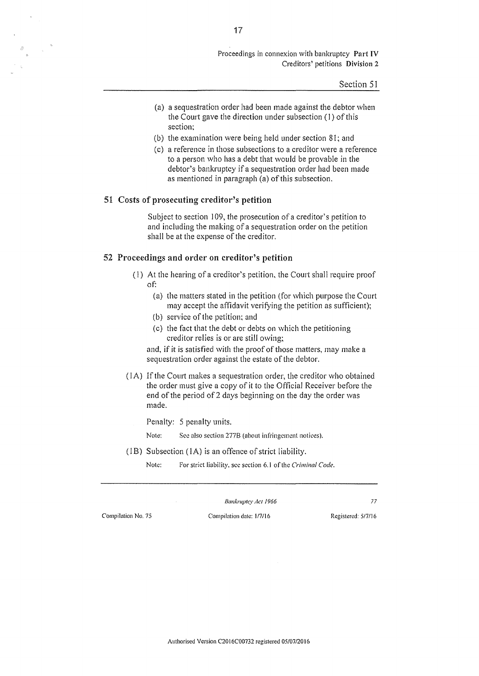#### Proceedings in connexion with bankruptcy Part IV Creditors' petitions Division 2

Section 51

- (a) a sequestration order had been made against the debtor when the Court gave the direction under subsection (I) of this section:
- (b) the examination were being held under section 81; and
- (c) a reference in those subsections to a creditor were a reference to a person who has a debt that would be provable in the debtor's bankruptcy if a sequestration order had been made as mentioned in paragraph (a) of this subsection.

#### 51 Costs of prosecuting creditor's petition

Subject to section 109, the prosecution of a creditor's petition to and including the making of a sequestration order on the petition shall be at the expense of the creditor.

#### 52 Proceedings and order on creditor's petition

- (I) At the hearing of a creditor's petition, the Court shall require proof of:
	- (a) the matters stated in the petition (for which purpose the Court may accept the affidavit verifying the petition as sufficient);
	- (b) service of the petition; and
	- (c) the fact that the debt or debts on which the petitioning creditor relies is or are still owing;

and, if it is satisfied with the proof of those matters, may make a sequestration order against the estate of the debtor.

(IA) If the Court makes a sequestration order, the creditor who obtained the order must give a copy of it to the Official Receiver before the end of the period of 2 days beginning on the day the order was made.

Penalty: 5 penalty units.

Note: See also section 277B (about infringement notices).

(JB) Subsection (lA) is an offence of strict liability.

Note: For strict liability. sec section 6.1 of the *Criminal Code.* 

*Bankruptcy Act 1966* **77** 

Compilation No. 75 Compilation date: !/7/!6 Registered: 517/16